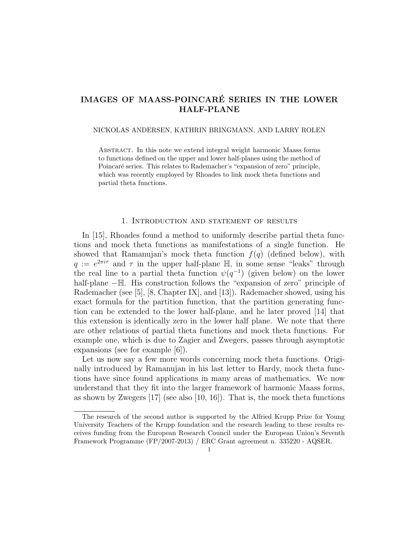# IMAGES OF MAASS-POINCARÉ SERIES IN THE LOWER HALF-PLANE

#### NICKOLAS ANDERSEN, KATHRIN BRINGMANN, AND LARRY ROLEN

Abstract. In this note we extend integral weight harmonic Maass forms to functions defined on the upper and lower half-planes using the method of Poincaré series. This relates to Rademacher's "expansion of zero" principle, which was recently employed by Rhoades to link mock theta functions and partial theta functions.

### 1. Introduction and statement of results

In [15], Rhoades found a method to uniformly describe partial theta functions and mock theta functions as manifestations of a single function. He showed that Ramanujan's mock theta function  $f(q)$  (defined below), with  $q := e^{2\pi i \tau}$  and  $\tau$  in the upper half-plane  $\mathbb{H}$ , in some sense "leaks" through the real line to a partial theta function  $\psi(q^{-1})$  (given below) on the lower half-plane −H. His construction follows the "expansion of zero" principle of Rademacher (see [5], [8, Chapter IX], and [13]). Rademacher showed, using his exact formula for the partition function, that the partition generating function can be extended to the lower half-plane, and he later proved [14] that this extension is identically zero in the lower half plane. We note that there are other relations of partial theta functions and mock theta functions. For example one, which is due to Zagier and Zwegers, passes through asymptotic expansions (see for example [6]).

Let us now say a few more words concerning mock theta functions. Originally introduced by Ramanujan in his last letter to Hardy, mock theta functions have since found applications in many areas of mathematics. We now understand that they fit into the larger framework of harmonic Maass forms, as shown by Zwegers  $[17]$  (see also  $[10, 16]$ ). That is, the mock theta functions

The research of the second author is supported by the Alfried Krupp Prize for Young University Teachers of the Krupp foundation and the research leading to these results receives funding from the European Research Council under the European Union's Seventh Framework Programme (FP/2007-2013) / ERC Grant agreement n. 335220 - AQSER.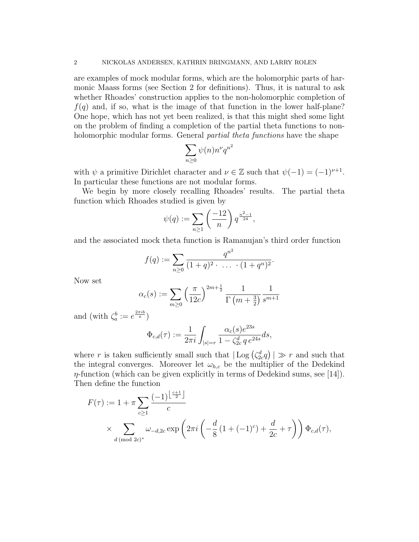are examples of mock modular forms, which are the holomorphic parts of harmonic Maass forms (see Section 2 for definitions). Thus, it is natural to ask whether Rhoades' construction applies to the non-holomorphic completion of  $f(q)$  and, if so, what is the image of that function in the lower half-plane? One hope, which has not yet been realized, is that this might shed some light on the problem of finding a completion of the partial theta functions to nonholomorphic modular forms. General *partial theta functions* have the shape

$$
\sum_{n\geq 0} \psi(n) n^{\nu} q^{n^2}
$$

with  $\psi$  a primitive Dirichlet character and  $\nu \in \mathbb{Z}$  such that  $\psi(-1) = (-1)^{\nu+1}$ . In particular these functions are not modular forms.

We begin by more closely recalling Rhoades' results. The partial theta function which Rhoades studied is given by

$$
\psi(q) := \sum_{n \ge 1} \left(\frac{-12}{n}\right) q^{\frac{n^2 - 1}{24}},
$$

and the associated mock theta function is Ramanujan's third order function

$$
f(q) := \sum_{n \geq 0} \frac{q^{n^2}}{(1+q)^2 \cdot \ldots \cdot (1+q^n)^2}.
$$

Now set

$$
\alpha_c(s) := \sum_{m\geq 0} \left(\frac{\pi}{12c}\right)^{2m+\frac{1}{2}} \frac{1}{\Gamma\left(m+\frac{3}{2}\right)} \frac{1}{s^{m+1}}
$$

and (with  $\zeta_a^b := e^{\frac{2\pi i b}{a}}$ )

$$
\Phi_{c,d}(\tau) := \frac{1}{2\pi i} \int_{|s|=r} \frac{\alpha_c(s) e^{23s}}{1 - \zeta_{2c}^d q e^{24s}} ds,
$$

where r is taken sufficiently small such that  $|\text{Log}(\zeta_{2c}^d q)| \gg r$  and such that the integral converges. Moreover let  $\omega_{h,c}$  be the multiplier of the Dedekind  $\eta$ -function (which can be given explicitly in terms of Dedekind sums, see [14]). Then define the function

$$
F(\tau) := 1 + \pi \sum_{c \ge 1} \frac{(-1)^{\left\lfloor \frac{c+1}{2} \right\rfloor}}{c}
$$
  
\$\times \sum\_{d \pmod{2c}^\*} \omega\_{-d,2c} \exp\left(2\pi i \left(-\frac{d}{8} \left(1 + (-1)^c\right) + \frac{d}{2c} + \tau\right)\right) \Phi\_{c,d}(\tau)\$,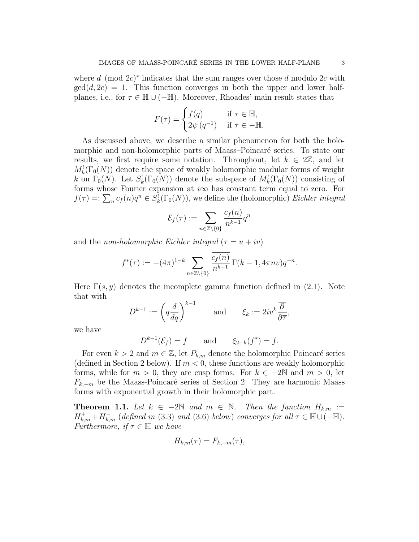where d (mod  $2c$ )<sup>\*</sup> indicates that the sum ranges over those d modulo 2c with  $gcd(d, 2c) = 1$ . This function converges in both the upper and lower halfplanes, i.e., for  $\tau \in \mathbb{H} \cup (-\mathbb{H})$ . Moreover, Rhoades' main result states that

$$
F(\tau) = \begin{cases} f(q) & \text{if } \tau \in \mathbb{H}, \\ 2\psi(q^{-1}) & \text{if } \tau \in -\mathbb{H}. \end{cases}
$$

As discussed above, we describe a similar phenomenon for both the holomorphic and non-holomorphic parts of Maass–Poincaré series. To state our results, we first require some notation. Throughout, let  $k \in 2\mathbb{Z}$ , and let  $M_k^!(\Gamma_0(N))$  denote the space of weakly holomorphic modular forms of weight k on  $\Gamma_0(N)$ . Let  $S^!_k(\Gamma_0(N))$  denote the subspace of  $M^!_k(\Gamma_0(N))$  consisting of forms whose Fourier expansion at  $i\infty$  has constant term equal to zero. For  $f(\tau) =: \sum_n c_f(n)q^n \in S_k^!(\Gamma_0(N))$ , we define the (holomorphic) Eichler integral

$$
\mathcal{E}_f(\tau) := \sum_{n \in \mathbb{Z} \setminus \{0\}} \frac{c_f(n)}{n^{k-1}} q^n
$$

and the non-holomorphic Eichler integral  $(\tau = u + iv)$ 

$$
f^{*}(\tau) := -(4\pi)^{1-k} \sum_{n \in \mathbb{Z} \setminus \{0\}} \frac{\overline{c_f(n)}}{n^{k-1}} \Gamma(k-1, 4\pi n v) q^{-n}.
$$

Here  $\Gamma(s, y)$  denotes the incomplete gamma function defined in (2.1). Note that with

$$
D^{k-1} := \left(q\frac{d}{dq}\right)^{k-1} \quad \text{and} \quad \xi_k := 2iv^k \frac{\overline{\partial}}{\partial \overline{\tau}},
$$

we have

$$
D^{k-1}(\mathcal{E}_f) = f \qquad \text{and} \qquad \xi_{2-k}(f^*) = f.
$$

For even  $k > 2$  and  $m \in \mathbb{Z}$ , let  $P_{k,m}$  denote the holomorphic Poincaré series (defined in Section 2 below). If  $m < 0$ , these functions are weakly holomorphic forms, while for  $m > 0$ , they are cusp forms. For  $k \in -2\mathbb{N}$  and  $m > 0$ , let  $F_{k,-m}$  be the Maass-Poincaré series of Section 2. They are harmonic Maass forms with exponential growth in their holomorphic part.

**Theorem 1.1.** Let  $k \in -2\mathbb{N}$  and  $m \in \mathbb{N}$ . Then the function  $H_{k,m} :=$  $H_{k,m}^+ + H_{k,m}^-$  (defined in (3.3) and (3.6) below) converges for all  $\tau \in \mathbb{H} \cup (-\mathbb{H})$ . Furthermore, if  $\tau \in \mathbb{H}$  we have

$$
H_{k,m}(\tau) = F_{k,-m}(\tau),
$$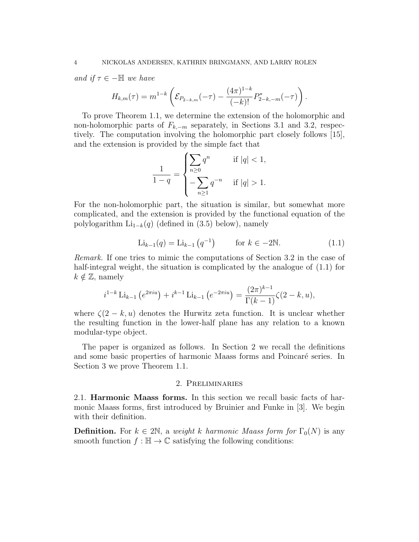and if  $\tau \in -\mathbb{H}$  we have

$$
H_{k,m}(\tau) = m^{1-k} \left( \mathcal{E}_{P_{2-k,m}}(-\tau) - \frac{(4\pi)^{1-k}}{(-k)!} P_{2-k,-m}^*(-\tau) \right).
$$

To prove Theorem 1.1, we determine the extension of the holomorphic and non-holomorphic parts of  $F_{k,-m}$  separately, in Sections 3.1 and 3.2, respectively. The computation involving the holomorphic part closely follows [15], and the extension is provided by the simple fact that

$$
\frac{1}{1-q} = \begin{cases} \sum_{n\geq 0} q^n & \text{if } |q| < 1, \\ -\sum_{n\geq 1} q^{-n} & \text{if } |q| > 1. \end{cases}
$$

For the non-holomorphic part, the situation is similar, but somewhat more complicated, and the extension is provided by the functional equation of the polylogarithm  $Li_{1-k}(q)$  (defined in (3.5) below), namely

$$
\text{Li}_{k-1}(q) = \text{Li}_{k-1}(q^{-1}) \qquad \text{for } k \in -2\mathbb{N}.
$$
 (1.1)

Remark. If one tries to mimic the computations of Section 3.2 in the case of half-integral weight, the situation is complicated by the analogue of  $(1.1)$  for  $k \notin \mathbb{Z}$ , namely

$$
i^{1-k} \operatorname{Li}_{k-1} \left( e^{2\pi i u} \right) + i^{k-1} \operatorname{Li}_{k-1} \left( e^{-2\pi i u} \right) = \frac{(2\pi)^{k-1}}{\Gamma(k-1)} \zeta(2-k, u),
$$

where  $\zeta(2-k,u)$  denotes the Hurwitz zeta function. It is unclear whether the resulting function in the lower-half plane has any relation to a known modular-type object.

The paper is organized as follows. In Section 2 we recall the definitions and some basic properties of harmonic Maass forms and Poincaré series. In Section 3 we prove Theorem 1.1.

## 2. Preliminaries

2.1. Harmonic Maass forms. In this section we recall basic facts of harmonic Maass forms, first introduced by Bruinier and Funke in [3]. We begin with their definition.

**Definition.** For  $k \in 2\mathbb{N}$ , a weight k harmonic Maass form for  $\Gamma_0(N)$  is any smooth function  $f : \mathbb{H} \to \mathbb{C}$  satisfying the following conditions: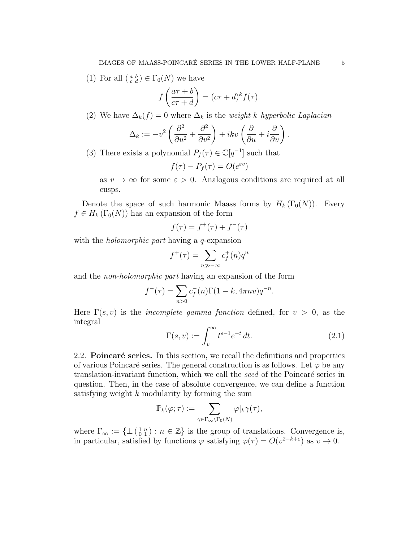(1) For all  $\left(\begin{smallmatrix} a & b \\ c & d \end{smallmatrix}\right) \in \Gamma_0(N)$  we have

$$
f\left(\frac{a\tau+b}{c\tau+d}\right) = (c\tau+d)^k f(\tau).
$$

(2) We have  $\Delta_k(f) = 0$  where  $\Delta_k$  is the *weight k hyperbolic Laplacian* 

$$
\Delta_k := -v^2 \left( \frac{\partial^2}{\partial u^2} + \frac{\partial^2}{\partial v^2} \right) + ikv \left( \frac{\partial}{\partial u} + i \frac{\partial}{\partial v} \right).
$$

(3) There exists a polynomial  $P_f(\tau) \in \mathbb{C}[q^{-1}]$  such that

$$
f(\tau) - P_f(\tau) = O(e^{\varepsilon v})
$$

as  $v \to \infty$  for some  $\varepsilon > 0$ . Analogous conditions are required at all cusps.

Denote the space of such harmonic Maass forms by  $H_k(\Gamma_0(N))$ . Every  $f \in H_k(\Gamma_0(N))$  has an expansion of the form

$$
f(\tau)=f^+(\tau)+f^-(\tau)
$$

with the *holomorphic part* having a *q*-expansion

$$
f^+(\tau) = \sum_{n \gg -\infty} c_f^+(n)q^n
$$

and the non-holomorphic part having an expansion of the form

$$
f^{-}(\tau) = \sum_{n>0} c_f^{-}(n) \Gamma(1 - k, 4\pi n v) q^{-n}.
$$

Here  $\Gamma(s, v)$  is the *incomplete gamma function* defined, for  $v > 0$ , as the integral

$$
\Gamma(s,v) := \int_v^{\infty} t^{s-1} e^{-t} dt.
$$
\n(2.1)

2.2. **Poincaré series.** In this section, we recall the definitions and properties of various Poincaré series. The general construction is as follows. Let  $\varphi$  be any translation-invariant function, which we call the *seed* of the Poincaré series in question. Then, in the case of absolute convergence, we can define a function satisfying weight  $k$  modularity by forming the sum

$$
\mathbb{P}_k(\varphi;\tau):=\sum_{\gamma\in\Gamma_\infty\backslash\Gamma_0(N)}\varphi|_k\gamma(\tau),
$$

where  $\Gamma_{\infty} := \{ \pm \left( \begin{smallmatrix} 1 & n \\ 0 & 1 \end{smallmatrix} \right) : n \in \mathbb{Z} \}$  is the group of translations. Convergence is, in particular, satisfied by functions  $\varphi$  satisfying  $\varphi(\tau) = O(v^{2-k+\epsilon})$  as  $v \to 0$ .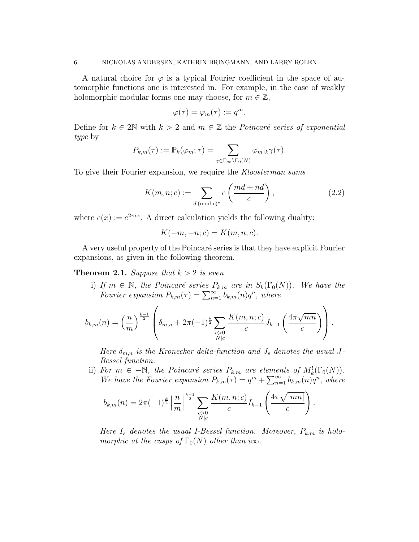A natural choice for  $\varphi$  is a typical Fourier coefficient in the space of automorphic functions one is interested in. For example, in the case of weakly holomorphic modular forms one may choose, for  $m \in \mathbb{Z}$ ,

$$
\varphi(\tau) = \varphi_m(\tau) := q^m.
$$

Define for  $k \in 2\mathbb{N}$  with  $k > 2$  and  $m \in \mathbb{Z}$  the *Poincaré series of exponential* type by

$$
P_{k,m}(\tau) := \mathbb{P}_k(\varphi_m; \tau) = \sum_{\gamma \in \Gamma_\infty \backslash \Gamma_0(N)} \varphi_m|_k \gamma(\tau).
$$

To give their Fourier expansion, we require the Kloosterman sums

$$
K(m, n; c) := \sum_{d \, (\text{mod } c)^*} e\left(\frac{m\overline{d} + nd}{c}\right),\tag{2.2}
$$

where  $e(x) := e^{2\pi ix}$ . A direct calculation yields the following duality:

$$
K(-m, -n; c) = K(m, n; c).
$$

A very useful property of the Poincaré series is that they have explicit Fourier expansions, as given in the following theorem.

**Theorem 2.1.** Suppose that  $k > 2$  is even.

i) If  $m \in \mathbb{N}$ , the Poincaré series  $P_{k,m}$  are in  $S_k(\Gamma_0(N))$ . We have the Fourier expansion  $P_{k,m}(\tau) = \sum_{n=1}^{\infty} b_{k,m}(n) q^n$ , where

$$
b_{k,m}(n) = \left(\frac{n}{m}\right)^{\frac{k-1}{2}} \left(\delta_{m,n} + 2\pi(-1)^{\frac{k}{2}} \sum_{\substack{c>0\\N\mid c}} \frac{K(m,n;c)}{c} J_{k-1}\left(\frac{4\pi\sqrt{mn}}{c}\right)\right).
$$

Here  $\delta_{m,n}$  is the Kronecker delta-function and  $J_s$  denotes the usual J-Bessel function.

ii) For  $m \in -\mathbb{N}$ , the Poincaré series  $P_{k,m}$  are elements of  $M_k^!(\Gamma_0(N))$ . We have the Fourier expansion  $P_{k,m}(\tau) = q^m + \sum_{n=1}^{\infty} b_{k,m}(n)q^n$ , where

$$
b_{k,m}(n) = 2\pi (-1)^{\frac{k}{2}} \left| \frac{n}{m} \right|^{\frac{k-1}{2}} \sum_{\substack{c > 0 \\ N \mid c}} \frac{K(m, n; c)}{c} I_{k-1} \left( \frac{4\pi \sqrt{|mn|}}{c} \right).
$$

Here  $I_s$  denotes the usual I-Bessel function. Moreover,  $P_{k,m}$  is holomorphic at the cusps of  $\Gamma_0(N)$  other than i $\infty$ .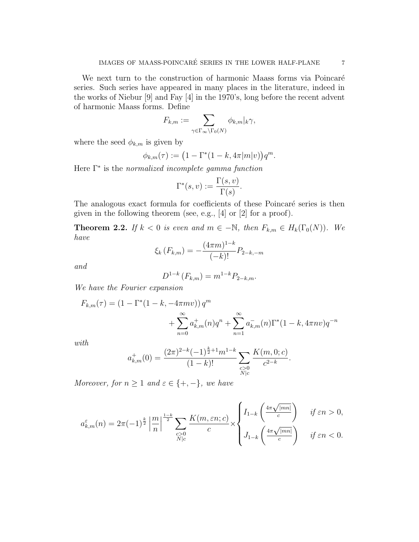We next turn to the construction of harmonic Maass forms via Poincaré series. Such series have appeared in many places in the literature, indeed in the works of Niebur [9] and Fay [4] in the 1970's, long before the recent advent of harmonic Maass forms. Define

$$
F_{k,m} := \sum_{\gamma \in \Gamma_{\infty} \backslash \Gamma_0(N)} \phi_{k,m} |_{k} \gamma,
$$

where the seed  $\phi_{k,m}$  is given by

$$
\phi_{k,m}(\tau) := \big(1 - \Gamma^*(1 - k, 4\pi |m|v)\big)q^m.
$$

Here Γ<sup>\*</sup> is the *normalized incomplete gamma function* 

$$
\Gamma^*(s, v) := \frac{\Gamma(s, v)}{\Gamma(s)}.
$$

The analogous exact formula for coefficients of these Poincaré series is then given in the following theorem (see, e.g., [4] or [2] for a proof).

**Theorem 2.2.** If  $k < 0$  is even and  $m \in -\mathbb{N}$ , then  $F_{k,m} \in H_k(\Gamma_0(N))$ . We have

$$
\xi_k(F_{k,m}) = -\frac{(4\pi m)^{1-k}}{(-k)!} P_{2-k,-m}
$$

and

$$
D^{1-k}(F_{k,m}) = m^{1-k} P_{2-k,m}.
$$

We have the Fourier expansion

$$
F_{k,m}(\tau) = (1 - \Gamma^*(1 - k, -4\pi mv)) q^m
$$
  
+ 
$$
\sum_{n=0}^{\infty} a^+_{k,m}(n) q^n + \sum_{n=1}^{\infty} a^-_{k,m}(n) \Gamma^*(1 - k, 4\pi nv) q^{-n}
$$

with

$$
a_{k,m}^{+}(0) = \frac{(2\pi)^{2-k}(-1)^{\frac{k}{2}+1}m^{1-k}}{(1-k)!} \sum_{\substack{c>0\\N|c}} \frac{K(m,0;c)}{c^{2-k}}.
$$

Moreover, for  $n \geq 1$  and  $\varepsilon \in \{+, -\}$ , we have

$$
a_{k,m}^\varepsilon(n)=2\pi(-1)^{\frac{k}{2}}\left|\frac{m}{n}\right|^{\frac{1-k}{2}}\sum_{\substack{c>0\\ N\mid c}}\frac{K(m,\varepsilon n;c)}{c}\times\left\{\begin{aligned} &I_{1-k}\left(\frac{4\pi\sqrt{|mn|}}{c}\right)&\quad if\ \varepsilon n>0,\\ &J_{1-k}\left(\frac{4\pi\sqrt{|mn|}}{c}\right)&\quad if\ \varepsilon n<0.\end{aligned}\right.
$$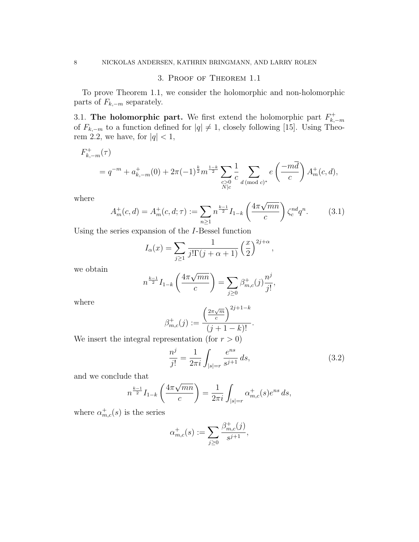## 3. Proof of Theorem 1.1

To prove Theorem 1.1, we consider the holomorphic and non-holomorphic parts of  $F_{k,-m}$  separately.

3.1. The holomorphic part. We first extend the holomorphic part  $F_{k}^+$  $k,-m$ of  $F_{k,-m}$  to a function defined for  $|q| \neq 1$ , closely following [15]. Using Theorem 2.2, we have, for  $|q|$  < 1,

$$
F_{k,-m}^{+}(\tau)
$$
  
=  $q^{-m} + a_{k,-m}^{+}(0) + 2\pi (-1)^{\frac{k}{2}} m^{\frac{1-k}{2}} \sum_{\substack{c>0 \ c \text{d} \pmod{c}}} \frac{1}{c} \sum_{d \pmod{c}^{*}} e\left(\frac{-m\overline{d}}{c}\right) A_{m}^{+}(c,d),$ 

where

$$
A_m^+(c,d) = A_m^+(c,d;\tau) := \sum_{n\geq 1} n^{\frac{k-1}{2}} I_{1-k} \left( \frac{4\pi\sqrt{mn}}{c} \right) \zeta_c^{nd} q^n.
$$
 (3.1)

Using the series expansion of the I-Bessel function

$$
I_{\alpha}(x) = \sum_{j\geq 1} \frac{1}{j!\Gamma(j+\alpha+1)} \left(\frac{x}{2}\right)^{2j+\alpha},
$$

we obtain

$$
n^{\frac{k-1}{2}} I_{1-k} \left( \frac{4\pi \sqrt{mn}}{c} \right) = \sum_{j \ge 0} \beta_{m,c}^+(j) \frac{n^j}{j!},
$$

where

$$
\beta_{m,c}^+(j) := \frac{\left(\frac{2\pi\sqrt{m}}{c}\right)^{2j+1-k}}{(j+1-k)!}.
$$

We insert the integral representation (for  $r > 0$ )

$$
\frac{n^j}{j!} = \frac{1}{2\pi i} \int_{|s|=r} \frac{e^{ns}}{s^{j+1}} ds,
$$
\n(3.2)

and we conclude that

$$
n^{\frac{k-1}{2}} I_{1-k} \left( \frac{4\pi \sqrt{mn}}{c} \right) = \frac{1}{2\pi i} \int_{|s|=r} \alpha^+_{m,c}(s) e^{ns} ds,
$$

where  $\alpha_{m,c}^+(s)$  is the series

$$
\alpha_{m,c}^+(s) := \sum_{j \geq 0} \frac{\beta_{m,c}^+(j)}{s^{j+1}},
$$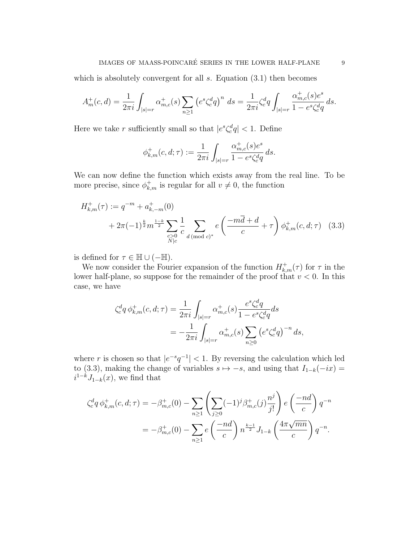## IMAGES OF MAASS-POINCARÉ SERIES IN THE LOWER HALF-PLANE  $9$

which is absolutely convergent for all  $s$ . Equation  $(3.1)$  then becomes

$$
A_m^+(c,d) = \frac{1}{2\pi i} \int_{|s|=r} \alpha_{m,c}^+(s) \sum_{n\geq 1} \left( e^s \zeta_c^d q \right)^n ds = \frac{1}{2\pi i} \zeta_c^d q \int_{|s|=r} \frac{\alpha_{m,c}^+(s) e^s}{1 - e^s \zeta_c^d q} ds.
$$

Here we take r sufficiently small so that  $|e^s \zeta_c^d q| < 1$ . Define

$$
\phi_{k,m}^+(c,d;\tau) := \frac{1}{2\pi i} \int_{|s|=r} \frac{\alpha_{m,c}^+(s)e^s}{1-e^s\zeta_c^dq}\,ds.
$$

We can now define the function which exists away from the real line. To be more precise, since  $\phi_{k,m}^+$  is regular for all  $v \neq 0$ , the function

$$
H_{k,m}^{+}(\tau) := q^{-m} + a_{k,-m}^{+}(0)
$$
  
+  $2\pi(-1)^{\frac{k}{2}}m^{\frac{1-k}{2}}\sum_{\substack{c>0 \ c \ l \text{ (mod } c)^*}} \frac{1}{c} \sum_{d \pmod{c}^*} e\left(\frac{-m\overline{d} + d}{c} + \tau\right) \phi_{k,m}^{+}(c, d; \tau)$  (3.3)

is defined for  $\tau \in \mathbb{H} \cup (-\mathbb{H})$ .

We now consider the Fourier expansion of the function  $H^+_{k,m}(\tau)$  for  $\tau$  in the lower half-plane, so suppose for the remainder of the proof that  $v < 0$ . In this case, we have

$$
\zeta_c^d q \, \phi_{k,m}^+(c, d; \tau) = \frac{1}{2\pi i} \int_{|s|=r} \alpha_{m,c}^+(s) \frac{e^s \zeta_c^d q}{1 - e^s \zeta_c^d q} ds
$$
  
= 
$$
-\frac{1}{2\pi i} \int_{|s|=r} \alpha_{m,c}^+(s) \sum_{n\geq 0} \left( e^s \zeta_c^d q \right)^{-n} ds,
$$

where r is chosen so that  $|e^{-s}q^{-1}| < 1$ . By reversing the calculation which led to (3.3), making the change of variables  $s \mapsto -s$ , and using that  $I_{1-k}(-ix) =$  $i^{1-k}J_{1-k}(x)$ , we find that

$$
\zeta_c^d q \, \phi_{k,m}^+(c, d; \tau) = -\beta_{m,c}^+(0) - \sum_{n \ge 1} \left( \sum_{j \ge 0} (-1)^j \beta_{m,c}^+(j) \frac{n^j}{j!} \right) e\left(\frac{-nd}{c}\right) q^{-n}
$$
  
=  $-\beta_{m,c}^+(0) - \sum_{n \ge 1} e\left(\frac{-nd}{c}\right) n^{\frac{k-1}{2}} J_{1-k}\left(\frac{4\pi\sqrt{mn}}{c}\right) q^{-n}.$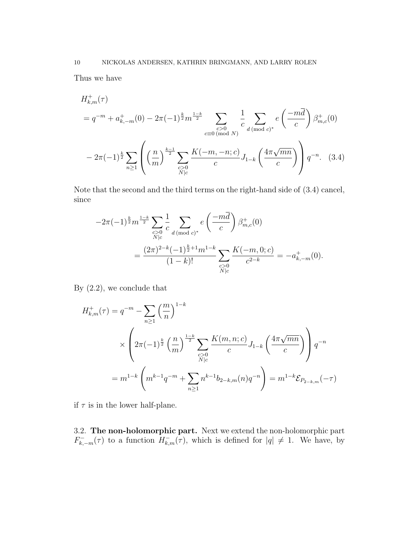Thus we have

$$
H_{k,m}^{+}(\tau)
$$
  
=  $q^{-m} + a_{k,-m}^{+}(0) - 2\pi (-1)^{\frac{k}{2}} m^{\frac{1-k}{2}}$ 
$$
\sum_{\substack{c>0 \ (mod N) \\ c \equiv 0 \ (mod N)}} \frac{1}{c} \sum_{d \pmod{c}} e\left(\frac{-m\overline{d}}{c}\right) \beta_{m,c}^{+}(0)
$$

$$
-2\pi (-1)^{\frac{k}{2}} \sum_{n \ge 1} \left( \left(\frac{n}{m}\right)^{\frac{k-1}{2}} \sum_{\substack{c>0 \ (mod N) \\ N \mid c}} \frac{K(-m, -n; c)}{c} J_{1-k} \left(\frac{4\pi \sqrt{mn}}{c}\right) \right) q^{-n}.
$$
 (3.4)

Note that the second and the third terms on the right-hand side of (3.4) cancel, since

$$
-2\pi(-1)^{\frac{k}{2}}m^{\frac{1-k}{2}}\sum_{\substack{c>0\\N|c}}\frac{1}{c}\sum_{d \pmod{c}^*}e\left(\frac{-m\overline{d}}{c}\right)\beta^+_{m,c}(0)
$$

$$
=\frac{(2\pi)^{2-k}(-1)^{\frac{k}{2}+1}m^{1-k}}{(1-k)!}\sum_{\substack{c>0\\N|c}}\frac{K(-m,0;c)}{c^{2-k}}=-a^+_{k,-m}(0).
$$

By (2.2), we conclude that

$$
H_{k,m}^{+}(\tau) = q^{-m} - \sum_{n\geq 1} {m \choose n}^{1-k}
$$
  
 
$$
\times \left(2\pi (-1)^{\frac{k}{2}} \left(\frac{n}{m}\right)^{\frac{1-k}{2}} \sum_{\substack{c>0 \ c>0}} \frac{K(m,n;c)}{c} J_{1-k}\left(\frac{4\pi \sqrt{mn}}{c}\right)\right) q^{-n}
$$
  

$$
= m^{1-k} \left(m^{k-1}q^{-m} + \sum_{n\geq 1} n^{k-1}b_{2-k,m}(n)q^{-n}\right) = m^{1-k} \mathcal{E}_{P_{2-k,m}}(-\tau)
$$

if  $\tau$  is in the lower half-plane.

3.2. The non-holomorphic part. Next we extend the non-holomorphic part  $F_{k,-m}^{-}(\tau)$  to a function  $H_{k,m}^{-}(\tau)$ , which is defined for  $|q| \neq 1$ . We have, by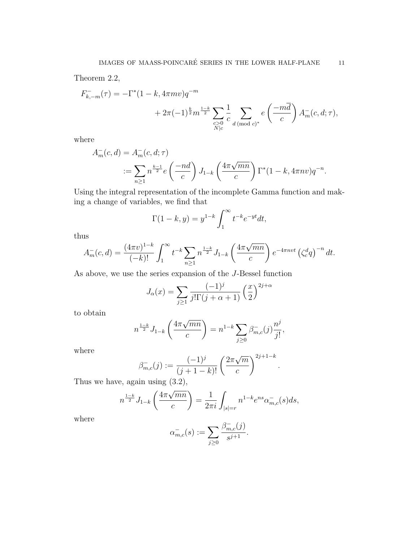Theorem 2.2,

$$
F_{k,-m}^-(\tau) = -\Gamma^*(1-k, 4\pi mv)q^{-m} + 2\pi(-1)^{\frac{k}{2}}m^{\frac{1-k}{2}} \sum_{\substack{c>0 \ N|c}} \frac{1}{c} \sum_{d \pmod{c}^*} e\left(\frac{-m\overline{d}}{c}\right) A_m^-(c, d; \tau),
$$

where

$$
A_m^-(c, d) = A_m^-(c, d; \tau)
$$
  
 :=  $\sum_{n \ge 1} n^{\frac{k-1}{2}} e\left(\frac{-nd}{c}\right) J_{1-k}\left(\frac{4\pi\sqrt{mn}}{c}\right) \Gamma^*(1 - k, 4\pi nv)q^{-n}.$ 

Using the integral representation of the incomplete Gamma function and making a change of variables, we find that

$$
\Gamma(1-k,y) = y^{1-k} \int_1^\infty t^{-k} e^{-yt} dt,
$$

thus

$$
A_m^-(c,d) = \frac{(4\pi v)^{1-k}}{(-k)!} \int_1^\infty t^{-k} \sum_{n\geq 1} n^{\frac{1-k}{2}} J_{1-k}\left(\frac{4\pi\sqrt{mn}}{c}\right) e^{-4\pi n v t} \left(\zeta_c^d q\right)^{-n} dt.
$$

As above, we use the series expansion of the J-Bessel function

$$
J_{\alpha}(x) = \sum_{j \ge 1} \frac{(-1)^j}{j! \Gamma(j + \alpha + 1)} \left(\frac{x}{2}\right)^{2j + \alpha}
$$

to obtain

$$
n^{\frac{1-k}{2}} J_{1-k}\left(\frac{4\pi\sqrt{mn}}{c}\right) = n^{1-k} \sum_{j\geq 0} \beta_{m,c}^{-}(j) \frac{n^j}{j!},
$$

where

$$
\beta_{m,c}^{-}(j) := \frac{(-1)^j}{(j+1-k)!} \left(\frac{2\pi\sqrt{m}}{c}\right)^{2j+1-k}.
$$

Thus we have, again using (3.2),

$$
n^{\frac{1-k}{2}} J_{1-k}\left(\frac{4\pi\sqrt{mn}}{c}\right) = \frac{1}{2\pi i} \int_{|s|=r} n^{1-k} e^{ns} \alpha_{m,c}^{-}(s) ds,
$$

where

$$
\alpha_{m,c}^{-}(s) := \sum_{j\geq 0} \frac{\beta_{m,c}^{-}(j)}{s^{j+1}}.
$$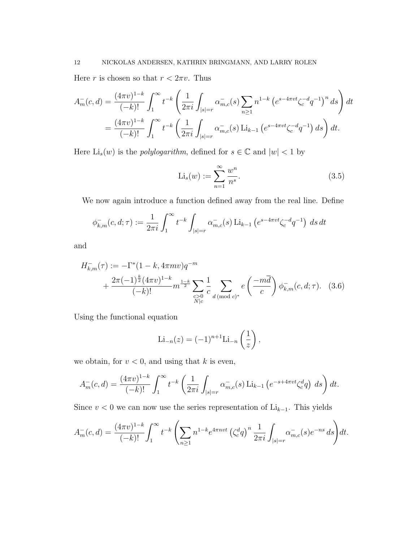Here r is chosen so that  $r < 2\pi v$ . Thus

$$
A_m^-(c,d) = \frac{(4\pi v)^{1-k}}{(-k)!} \int_1^\infty t^{-k} \left( \frac{1}{2\pi i} \int_{|s|=r} \alpha_{m,c}^-(s) \sum_{n\geq 1} n^{1-k} \left( e^{s-4\pi vt} \zeta_c^{-d} q^{-1} \right)^n ds \right) dt
$$
  
= 
$$
\frac{(4\pi v)^{1-k}}{(-k)!} \int_1^\infty t^{-k} \left( \frac{1}{2\pi i} \int_{|s|=r} \alpha_{m,c}^-(s) \operatorname{Li}_{k-1} \left( e^{s-4\pi vt} \zeta_c^{-d} q^{-1} \right) ds \right) dt.
$$

Here  $\text{Li}_s(w)$  is the *polylogarithm*, defined for  $s \in \mathbb{C}$  and  $|w| < 1$  by

$$
\text{Li}_s(w) := \sum_{n=1}^{\infty} \frac{w^n}{n^s}.
$$
\n(3.5)

We now again introduce a function defined away from the real line. Define

$$
\phi_{k,m}^-(c,d;\tau) := \frac{1}{2\pi i} \int_1^\infty t^{-k} \int_{|s|=r} \alpha_{m,c}^-(s) \operatorname{Li}_{k-1}\left(e^{s-4\pi vt} \zeta_c^{-d} q^{-1}\right) \, ds \, dt
$$

and

$$
H_{k,m}^{-}(\tau) := -\Gamma^{*}(1-k, 4\pi mv)q^{-m} + \frac{2\pi(-1)^{\frac{k}{2}}(4\pi v)^{1-k}}{(-k)!}m^{\frac{1-k}{2}}\sum_{\substack{c>0\\N|c}}\frac{1}{c}\sum_{d \pmod{c}^{*}}e\left(\frac{-m\overline{d}}{c}\right)\phi_{k,m}^{-}(c, d; \tau). \quad (3.6)
$$

Using the functional equation

$$
\mathrm{Li}_{-n}(z) = (-1)^{n+1} \mathrm{Li}_{-n}\left(\frac{1}{z}\right),
$$

we obtain, for  $v < 0$ , and using that k is even,

$$
A_m^-(c,d) = \frac{(4\pi v)^{1-k}}{(-k)!} \int_1^\infty t^{-k} \left( \frac{1}{2\pi i} \int_{|s|=r} \alpha_{m,c}^-(s) \operatorname{Li}_{k-1} \left( e^{-s+4\pi vt} \zeta_c^d q \right) ds \right) dt.
$$

Since  $v < 0$  we can now use the series representation of Li<sub>k−1</sub>. This yields

$$
A_m^-(c,d) = \frac{(4\pi v)^{1-k}}{(-k)!} \int_1^\infty t^{-k} \left( \sum_{n\geq 1} n^{1-k} e^{4\pi n v t} \left( \zeta_c^d q \right)^n \frac{1}{2\pi i} \int_{|s|=r} \alpha_{m,c}^-(s) e^{-ns} \, ds \right) dt.
$$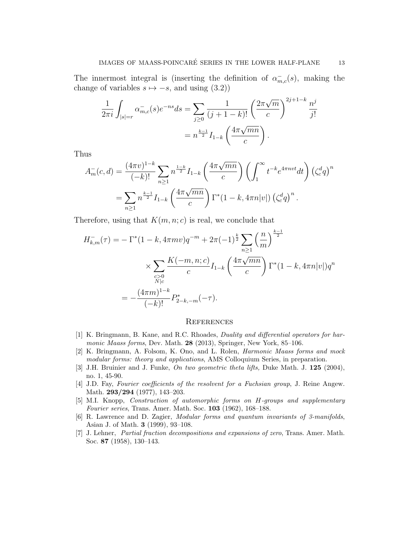The innermost integral is (inserting the definition of  $\alpha_{m,c}^{-}(s)$ , making the change of variables  $s \mapsto -s$ , and using (3.2))

$$
\frac{1}{2\pi i} \int_{|s|=r} \alpha_{m,c}^{-}(s) e^{-ns} ds = \sum_{j\geq 0} \frac{1}{(j+1-k)!} \left(\frac{2\pi\sqrt{m}}{c}\right)^{2j+1-k} \frac{n^j}{j!}
$$

$$
= n^{\frac{k-1}{2}} I_{1-k} \left(\frac{4\pi\sqrt{mn}}{c}\right).
$$

Thus

$$
A_m^-(c,d) = \frac{(4\pi v)^{1-k}}{(-k)!} \sum_{n\geq 1} n^{\frac{1-k}{2}} I_{1-k} \left(\frac{4\pi \sqrt{mn}}{c}\right) \left(\int_1^\infty t^{-k} e^{4\pi n v t} dt\right) \left(\zeta_c^d q\right)^n
$$
  
= 
$$
\sum_{n\geq 1} n^{\frac{k-1}{2}} I_{1-k} \left(\frac{4\pi \sqrt{mn}}{c}\right) \Gamma^*(1-k, 4\pi n|v|) \left(\zeta_c^d q\right)^n.
$$

Therefore, using that  $K(m, n; c)$  is real, we conclude that

$$
H_{k,m}^-(\tau) = -\Gamma^*(1-k, 4\pi mv)q^{-m} + 2\pi (-1)^{\frac{k}{2}} \sum_{n\geq 1} \left(\frac{n}{m}\right)^{\frac{k-1}{2}}
$$
  
 
$$
\times \sum_{\substack{c>0\\N|c}} \frac{K(-m, n; c)}{c} I_{1-k}\left(\frac{4\pi\sqrt{mn}}{c}\right) \Gamma^*(1-k, 4\pi n|v|)q^n
$$
  
= 
$$
-\frac{(4\pi m)^{1-k}}{(-k)!} P_{2-k,-m}^*(-\tau).
$$

## **REFERENCES**

- [1] K. Bringmann, B. Kane, and R.C. Rhoades, Duality and differential operators for harmonic Maass forms, Dev. Math. 28 (2013), Springer, New York, 85-106.
- [2] K. Bringmann, A. Folsom, K. Ono, and L. Rolen, Harmonic Maass forms and mock modular forms: theory and applications, AMS Colloquium Series, in preparation.
- [3] J.H. Bruinier and J. Funke, On two geometric theta lifts, Duke Math. J. 125 (2004), no. 1, 45-90.
- [4] J.D. Fay, Fourier coefficients of the resolvent for a Fuchsian group, J. Reine Angew. Math. 293/294 (1977), 143–203.
- [5] M.I. Knopp, Construction of automorphic forms on H-groups and supplementary Fourier series, Trans. Amer. Math. Soc. 103 (1962), 168–188.
- [6] R. Lawrence and D. Zagier, Modular forms and quantum invariants of 3-manifolds, Asian J. of Math. 3 (1999), 93–108.
- [7] J. Lehner, Partial fraction decompositions and expansions of zero, Trans. Amer. Math. Soc. 87 (1958), 130–143.